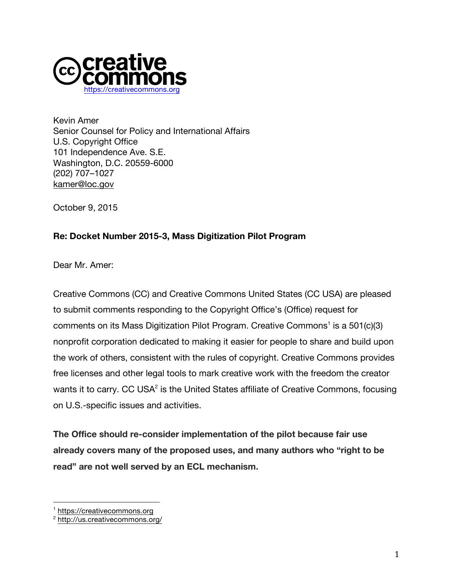

Kevin Amer Senior Counsel for Policy and International Affairs U.S. Copyright Office 101 Independence Ave. S.E. Washington, D.C. 20559-6000 (202) 707–1027 kamer@loc.gov

October 9, 2015

## **Re: Docket Number 2015-3, Mass Digitization Pilot Program**

Dear Mr. Amer:

Creative Commons (CC) and Creative Commons United States (CC USA) are pleased to submit comments responding to the Copyright Office's (Office) request for comments on its Mass Digitization Pilot Program. Creative Commons<sup>1</sup> is a 501 $(c)(3)$ nonprofit corporation dedicated to making it easier for people to share and build upon the work of others, consistent with the rules of copyright. Creative Commons provides free licenses and other legal tools to mark creative work with the freedom the creator wants it to carry. CC USA<sup>2</sup> is the United States affiliate of Creative Commons, focusing on U.S.-specific issues and activities.

**The Office should re-consider implementation of the pilot because fair use already covers many of the proposed uses, and many authors who "right to be read" are not well served by an ECL mechanism.** 

 <sup>1</sup> https://creativecommons.org

<sup>2</sup> http://us.creativecommons.org/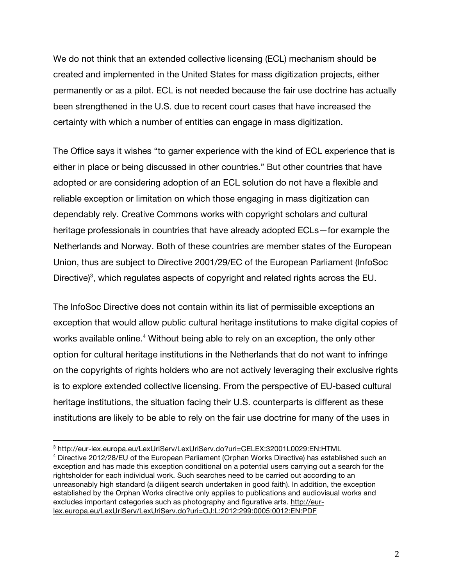We do not think that an extended collective licensing (ECL) mechanism should be created and implemented in the United States for mass digitization projects, either permanently or as a pilot. ECL is not needed because the fair use doctrine has actually been strengthened in the U.S. due to recent court cases that have increased the certainty with which a number of entities can engage in mass digitization.

The Office says it wishes "to garner experience with the kind of ECL experience that is either in place or being discussed in other countries." But other countries that have adopted or are considering adoption of an ECL solution do not have a flexible and reliable exception or limitation on which those engaging in mass digitization can dependably rely. Creative Commons works with copyright scholars and cultural heritage professionals in countries that have already adopted ECLs—for example the Netherlands and Norway. Both of these countries are member states of the European Union, thus are subject to Directive 2001/29/EC of the European Parliament (InfoSoc Directive)<sup>3</sup>, which regulates aspects of copyright and related rights across the EU.

The InfoSoc Directive does not contain within its list of permissible exceptions an exception that would allow public cultural heritage institutions to make digital copies of works available online.<sup>4</sup> Without being able to rely on an exception, the only other option for cultural heritage institutions in the Netherlands that do not want to infringe on the copyrights of rights holders who are not actively leveraging their exclusive rights is to explore extended collective licensing. From the perspective of EU-based cultural heritage institutions, the situation facing their U.S. counterparts is different as these institutions are likely to be able to rely on the fair use doctrine for many of the uses in

 

<sup>3</sup> http://eur-lex.europa.eu/LexUriServ/LexUriServ.do?uri=CELEX:32001L0029:EN:HTML

<sup>4</sup> Directive 2012/28/EU of the European Parliament (Orphan Works Directive) has established such an exception and has made this exception conditional on a potential users carrying out a search for the rightsholder for each individual work. Such searches need to be carried out according to an unreasonably high standard (a diligent search undertaken in good faith). In addition, the exception established by the Orphan Works directive only applies to publications and audiovisual works and excludes important categories such as photography and figurative arts. http://eurlex.europa.eu/LexUriServ/LexUriServ.do?uri=OJ:L:2012:299:0005:0012:EN:PDF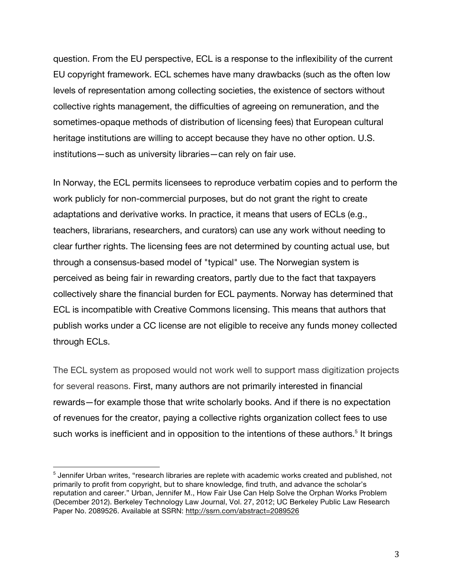question. From the EU perspective, ECL is a response to the inflexibility of the current EU copyright framework. ECL schemes have many drawbacks (such as the often low levels of representation among collecting societies, the existence of sectors without collective rights management, the difficulties of agreeing on remuneration, and the sometimes-opaque methods of distribution of licensing fees) that European cultural heritage institutions are willing to accept because they have no other option. U.S. institutions—such as university libraries—can rely on fair use.

In Norway, the ECL permits licensees to reproduce verbatim copies and to perform the work publicly for non-commercial purposes, but do not grant the right to create adaptations and derivative works. In practice, it means that users of ECLs (e.g., teachers, librarians, researchers, and curators) can use any work without needing to clear further rights. The licensing fees are not determined by counting actual use, but through a consensus-based model of "typical" use. The Norwegian system is perceived as being fair in rewarding creators, partly due to the fact that taxpayers collectively share the financial burden for ECL payments. Norway has determined that ECL is incompatible with Creative Commons licensing. This means that authors that publish works under a CC license are not eligible to receive any funds money collected through ECLs.

The ECL system as proposed would not work well to support mass digitization projects for several reasons. First, many authors are not primarily interested in financial rewards—for example those that write scholarly books. And if there is no expectation of revenues for the creator, paying a collective rights organization collect fees to use such works is inefficient and in opposition to the intentions of these authors.<sup>5</sup> It brings

 

 $<sup>5</sup>$  Jennifer Urban writes, "research libraries are replete with academic works created and published, not</sup> primarily to profit from copyright, but to share knowledge, find truth, and advance the scholar's reputation and career." Urban, Jennifer M., How Fair Use Can Help Solve the Orphan Works Problem (December 2012). Berkeley Technology Law Journal, Vol. 27, 2012; UC Berkeley Public Law Research Paper No. 2089526. Available at SSRN: http://ssrn.com/abstract=2089526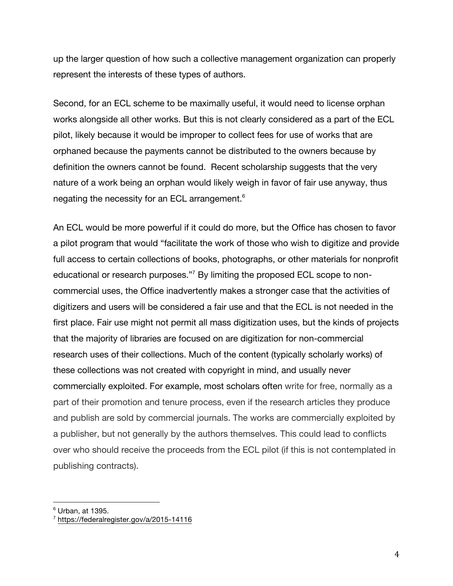up the larger question of how such a collective management organization can properly represent the interests of these types of authors.

Second, for an ECL scheme to be maximally useful, it would need to license orphan works alongside all other works. But this is not clearly considered as a part of the ECL pilot, likely because it would be improper to collect fees for use of works that are orphaned because the payments cannot be distributed to the owners because by definition the owners cannot be found. Recent scholarship suggests that the very nature of a work being an orphan would likely weigh in favor of fair use anyway, thus negating the necessity for an ECL arrangement.<sup>6</sup>

An ECL would be more powerful if it could do more, but the Office has chosen to favor a pilot program that would "facilitate the work of those who wish to digitize and provide full access to certain collections of books, photographs, or other materials for nonprofit educational or research purposes."7 By limiting the proposed ECL scope to noncommercial uses, the Office inadvertently makes a stronger case that the activities of digitizers and users will be considered a fair use and that the ECL is not needed in the first place. Fair use might not permit all mass digitization uses, but the kinds of projects that the majority of libraries are focused on are digitization for non-commercial research uses of their collections. Much of the content (typically scholarly works) of these collections was not created with copyright in mind, and usually never commercially exploited. For example, most scholars often write for free, normally as a part of their promotion and tenure process, even if the research articles they produce and publish are sold by commercial journals. The works are commercially exploited by a publisher, but not generally by the authors themselves. This could lead to conflicts over who should receive the proceeds from the ECL pilot (if this is not contemplated in publishing contracts).

 

 $6$  Urban, at 1395.

<sup>7</sup> https://federalregister.gov/a/2015-14116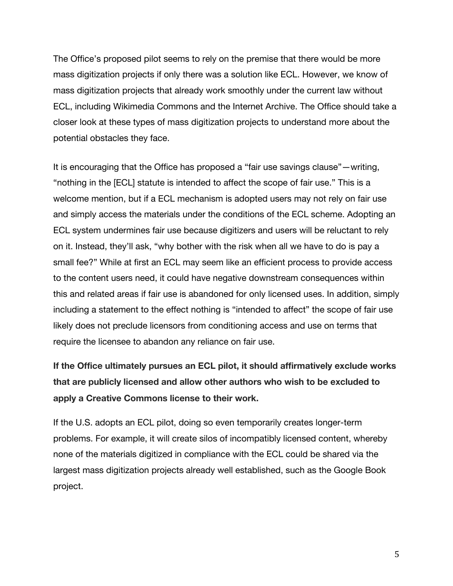The Office's proposed pilot seems to rely on the premise that there would be more mass digitization projects if only there was a solution like ECL. However, we know of mass digitization projects that already work smoothly under the current law without ECL, including Wikimedia Commons and the Internet Archive. The Office should take a closer look at these types of mass digitization projects to understand more about the potential obstacles they face.

It is encouraging that the Office has proposed a "fair use savings clause"—writing, "nothing in the [ECL] statute is intended to affect the scope of fair use." This is a welcome mention, but if a ECL mechanism is adopted users may not rely on fair use and simply access the materials under the conditions of the ECL scheme. Adopting an ECL system undermines fair use because digitizers and users will be reluctant to rely on it. Instead, they'll ask, "why bother with the risk when all we have to do is pay a small fee?" While at first an ECL may seem like an efficient process to provide access to the content users need, it could have negative downstream consequences within this and related areas if fair use is abandoned for only licensed uses. In addition, simply including a statement to the effect nothing is "intended to affect" the scope of fair use likely does not preclude licensors from conditioning access and use on terms that require the licensee to abandon any reliance on fair use.

**If the Office ultimately pursues an ECL pilot, it should affirmatively exclude works that are publicly licensed and allow other authors who wish to be excluded to apply a Creative Commons license to their work.**

If the U.S. adopts an ECL pilot, doing so even temporarily creates longer-term problems. For example, it will create silos of incompatibly licensed content, whereby none of the materials digitized in compliance with the ECL could be shared via the largest mass digitization projects already well established, such as the Google Book project.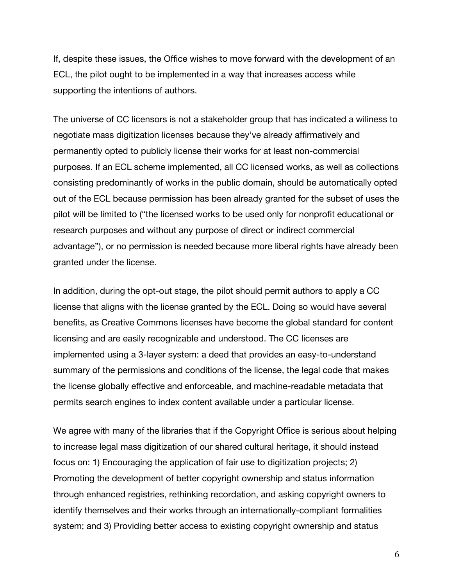If, despite these issues, the Office wishes to move forward with the development of an ECL, the pilot ought to be implemented in a way that increases access while supporting the intentions of authors.

The universe of CC licensors is not a stakeholder group that has indicated a wiliness to negotiate mass digitization licenses because they've already affirmatively and permanently opted to publicly license their works for at least non-commercial purposes. If an ECL scheme implemented, all CC licensed works, as well as collections consisting predominantly of works in the public domain, should be automatically opted out of the ECL because permission has been already granted for the subset of uses the pilot will be limited to ("the licensed works to be used only for nonprofit educational or research purposes and without any purpose of direct or indirect commercial advantage"), or no permission is needed because more liberal rights have already been granted under the license.

In addition, during the opt-out stage, the pilot should permit authors to apply a CC license that aligns with the license granted by the ECL. Doing so would have several benefits, as Creative Commons licenses have become the global standard for content licensing and are easily recognizable and understood. The CC licenses are implemented using a 3-layer system: a deed that provides an easy-to-understand summary of the permissions and conditions of the license, the legal code that makes the license globally effective and enforceable, and machine-readable metadata that permits search engines to index content available under a particular license.

We agree with many of the libraries that if the Copyright Office is serious about helping to increase legal mass digitization of our shared cultural heritage, it should instead focus on: 1) Encouraging the application of fair use to digitization projects; 2) Promoting the development of better copyright ownership and status information through enhanced registries, rethinking recordation, and asking copyright owners to identify themselves and their works through an internationally-compliant formalities system; and 3) Providing better access to existing copyright ownership and status